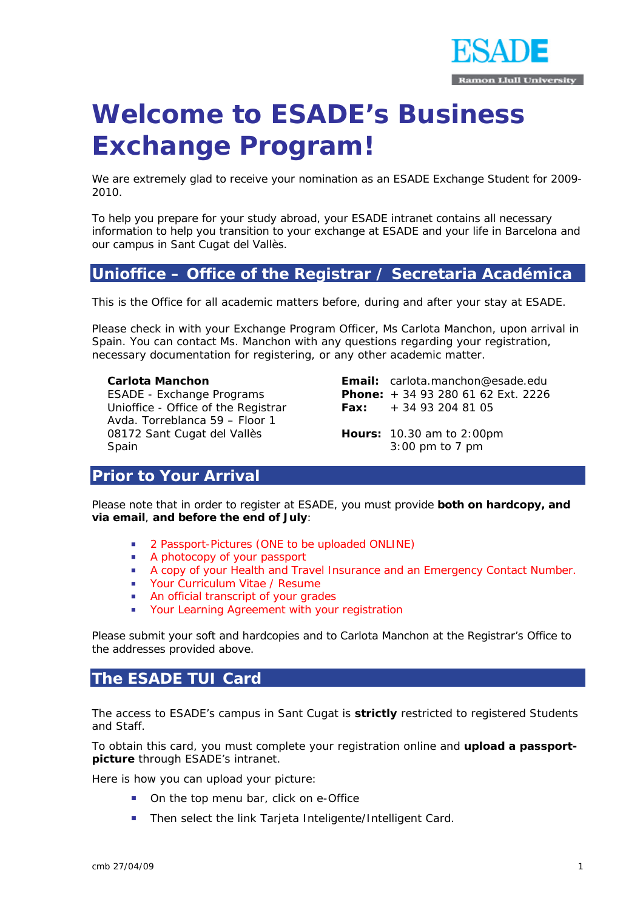

# **Welcome to ESADE's Business Exchange Program!**

We are extremely glad to receive your nomination as an ESADE Exchange Student for 2009- 2010.

To help you prepare for your study abroad, your ESADE intranet contains all necessary information to help you transition to your exchange at ESADE and your life in Barcelona and our campus in Sant Cugat del Vallès.

# **Unioffice – Office of the Registrar / Secretaria Académica**

This is the Office for all academic matters before, during and after your stay at ESADE.

Please check in with your Exchange Program Officer, Ms Carlota Manchon, upon arrival in Spain. You can contact Ms. Manchon with any questions regarding your registration, necessary documentation for registering, or any other academic matter.

**Carlota Manchon**  ESADE - Exchange Programs Unioffice - Office of the Registrar Avda. Torreblanca 59 – Floor 1 08172 Sant Cugat del Vallès Spain

**Email:** carlota.manchon@esade.edu **Phone:** + 34 93 280 61 62 Ext. 2226 **Fax:** + 34 93 204 81 05

**Hours:** 10.30 am to 2:00pm 3:00 pm to 7 pm

# **Prior to Your Arrival**

Please note that in order to register at ESADE, you must provide **both on hardcopy, and via email**, **and before the end of July**:

- **2 Passport-Pictures (ONE to be uploaded ONLINE)**
- **A photocopy of your passport**
- A copy of your Health and Travel Insurance and an Emergency Contact Number.
- **Vour Curriculum Vitae / Resume**
- **An official transcript of your grades**
- **EXECT:** Your Learning Agreement with your registration

Please submit your soft and hardcopies and to Carlota Manchon at the Registrar's Office to the addresses provided above.

# **The ESADE TUI Card**

The access to ESADE's campus in Sant Cugat is **strictly** restricted to registered Students and Staff.

To obtain this card, you must complete your registration online and **upload a passportpicture** through ESADE's intranet.

Here is how you can upload your picture:

- On the top menu bar, click on e-Office
- Then select the link Tarjeta Inteligente/Intelligent Card.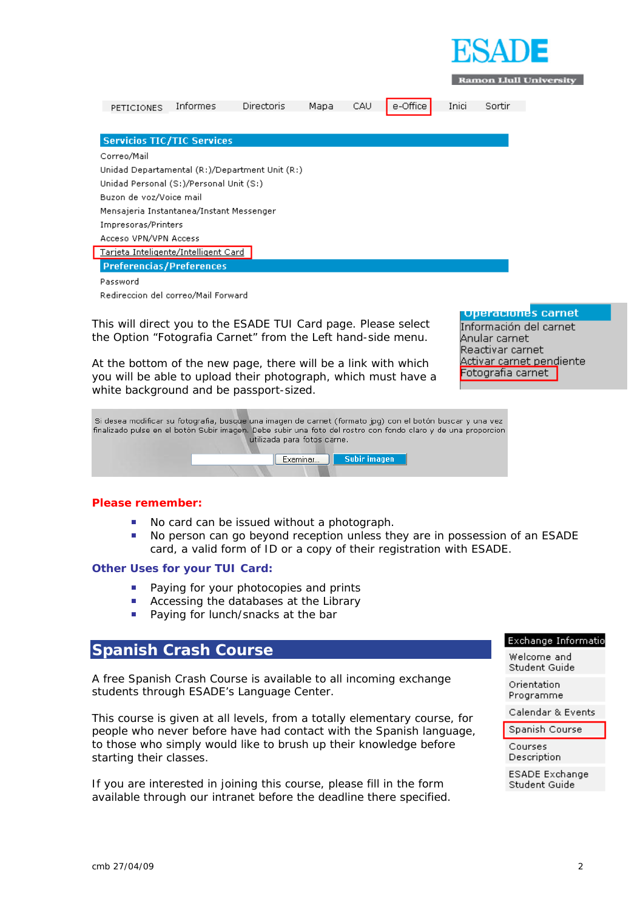

**Ramon Llull University** 

| PETICIONES                                          | Informes | <b>Directoris</b> | Mapa | CAU | e-Office | Inici | Sortir |
|-----------------------------------------------------|----------|-------------------|------|-----|----------|-------|--------|
| <b>Servicios TIC/TIC Services</b>                   |          |                   |      |     |          |       |        |
| Correo/Mail                                         |          |                   |      |     |          |       |        |
| Unidad Departamental $(R)$ /Department Unit $(R)$ ) |          |                   |      |     |          |       |        |
| Unidad Personal (S:)/Personal Unit (S:)             |          |                   |      |     |          |       |        |
| Buzon de voz/Voice mail                             |          |                   |      |     |          |       |        |
| Mensajeria Instantanea/Instant Messenger            |          |                   |      |     |          |       |        |
| Impresoras/Printers                                 |          |                   |      |     |          |       |        |
| Acceso VPN/VPN Access                               |          |                   |      |     |          |       |        |
| Tarjeta Inteligente/Intelligent Card                |          |                   |      |     |          |       |        |
| <b>Preferencias/Preferences</b>                     |          |                   |      |     |          |       |        |
| Password                                            |          |                   |      |     |          |       |        |
| Redireccion del correo/Mail Forward                 |          |                   |      |     |          |       |        |
|                                                     |          |                   |      |     |          |       |        |

This will direct you to the ESADE TUI Card page. Please select the Option "Fotografia Carnet" from the Left hand-side menu.

At the bottom of the new page, there will be a link with which you will be able to upload their photograph, which must have a white background and be passport-sized.

**Lunaraciones carnet** 

Información del carnet Anular carnet Reactivar carnet Activar carnet pendiente Fotografia carnet

Si desea modificar su fotografia, busque una imagen de carnet (formato jpg) con el botón buscar y una vez finalizado pulse en el botón Subir imagen. Debe subir una foto del rostro con fondo claro y de una proporcion utilizada para fotos carne.



#### **Please remember:**

- No card can be issued without a photograph.
- No person can go beyond reception unless they are in possession of an ESADE card, a valid form of ID or a copy of their registration with ESADE.

#### **Other Uses for your TUI Card:**

- Paying for your photocopies and prints
- **Accessing the databases at the Library**
- **Paying for lunch/snacks at the bar**

#### **Spanish Crash Course**

A free Spanish Crash Course is available to all incoming exchange students through ESADE's Language Center.

This course is given at all levels, from a totally elementary course, for people who never before have had contact with the Spanish language, to those who simply would like to brush up their knowledge before starting their classes.

If you are interested in joining this course, please fill in the form available through our intranet before the deadline there specified.

#### Exchange Informatio

Welcome and Student Guide

Orientation Programme

Calendar & Events

Spanish Course Courses

Description

ESADE Exchange Student Guide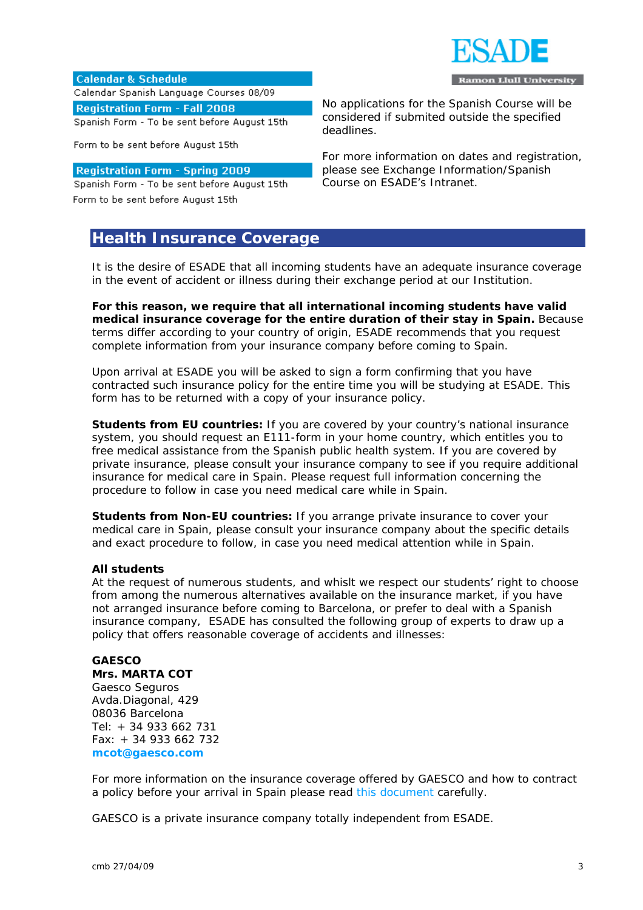

**Calendar & Schedule** Calendar Spanish Language Courses 08/09 **Registration Form - Fall 2008** 

Spanish Form - To be sent before August 15th

Form to be sent before August 15th

#### **Registration Form - Spring 2009**

Spanish Form - To be sent before August 15th

Form to be sent before August 15th

# **Health Insurance Coverage**

No applications for the Spanish Course will be considered if submited outside the specified deadlines.

For more information on dates and registration, please see Exchange Information/Spanish Course on ESADE's Intranet.

It is the desire of ESADE that all incoming students have an adequate insurance coverage in the event of accident or illness during their exchange period at our Institution.

**For this reason, we require that all international incoming students have valid medical insurance coverage for the entire duration of their stay in Spain.** Because terms differ according to your country of origin, ESADE recommends that you request complete information from your insurance company before coming to Spain.

Upon arrival at ESADE you will be asked to sign a form confirming that you have contracted such insurance policy for the entire time you will be studying at ESADE. This form has to be returned with a copy of your insurance policy.

**Students from EU countries:** If you are covered by your country's national insurance system, you should request an E111-form in your home country, which entitles you to free medical assistance from the Spanish public health system. If you are covered by private insurance, please consult your insurance company to see if you require additional insurance for medical care in Spain. Please request full information concerning the procedure to follow in case you need medical care while in Spain.

**Students from Non-EU countries:** If you arrange private insurance to cover your medical care in Spain, please consult your insurance company about the specific details and exact procedure to follow, in case you need medical attention while in Spain.

#### **All students**

At the request of numerous students, and whislt we respect our students' right to choose from among the numerous alternatives available on the insurance market, if you have not arranged insurance before coming to Barcelona, or prefer to deal with a Spanish insurance company, ESADE has consulted the following group of experts to draw up a policy that offers reasonable coverage of accidents and illnesses:

#### **GAESCO**

**Mrs. MARTA COT**  Gaesco Seguros Avda.Diagonal, 429 08036 Barcelona Tel: + 34 933 662 731 Fax: + 34 933 662 732 **mcot@gaesco.com** 

For more information on the insurance coverage offered by GAESCO and how to contract a policy before your arrival in Spain please read this document carefully.

GAESCO is a private insurance company totally independent from ESADE.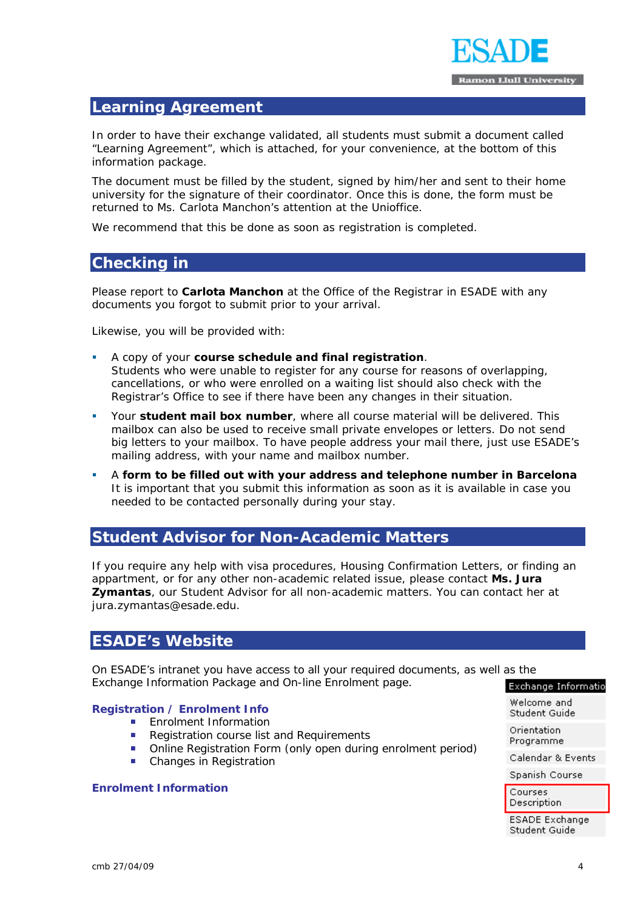

# **Learning Agreement**

In order to have their exchange validated, all students must submit a document called "Learning Agreement", which is attached, for your convenience, at the bottom of this information package.

The document must be filled by the student, signed by him/her and sent to their home university for the signature of their coordinator. Once this is done, the form must be returned to Ms. Carlota Manchon's attention at the Unioffice.

We recommend that this be done as soon as registration is completed.

# **Checking in**

Please report to **Carlota Manchon** at the Office of the Registrar in ESADE with any documents you forgot to submit prior to your arrival.

Likewise, you will be provided with:

- A copy of your **course schedule and final registration**. Students who were unable to register for any course for reasons of overlapping, cancellations, or who were enrolled on a waiting list should also check with the Registrar's Office to see if there have been any changes in their situation.
- Your **student mail box number**, where all course material will be delivered. This mailbox can also be used to receive small private envelopes or letters. Do not send big letters to your mailbox. To have people address your mail there, just use ESADE's mailing address, with your name and mailbox number.
- A **form to be filled out with your address and telephone number in Barcelona** It is important that you submit this information as soon as it is available in case you needed to be contacted personally during your stay.

# **Student Advisor for Non-Academic Matters**

If you require any help with visa procedures, Housing Confirmation Letters, or finding an appartment, or for any other non-academic related issue, please contact **Ms. Jura Zymantas**, our Student Advisor for all non-academic matters. You can contact her at jura.zymantas@esade.edu.

# **ESADE's Website**

On ESADE's intranet you have access to all your required documents, as well as the Exchange Information Package and On-line Enrolment page. **Exchange Informatio** 

#### **Registration / Enrolment Info**

- **Enrolment Information**
- Registration course list and Requirements
- **Online Registration Form (only open during enrolment period)**
- Changes in Registration

#### **Enrolment Information**

Welcome and Student Guide Orientation Programme

Calendar & Events

Spanish Course

Courses Description

**ESADE Exchange** Student Guide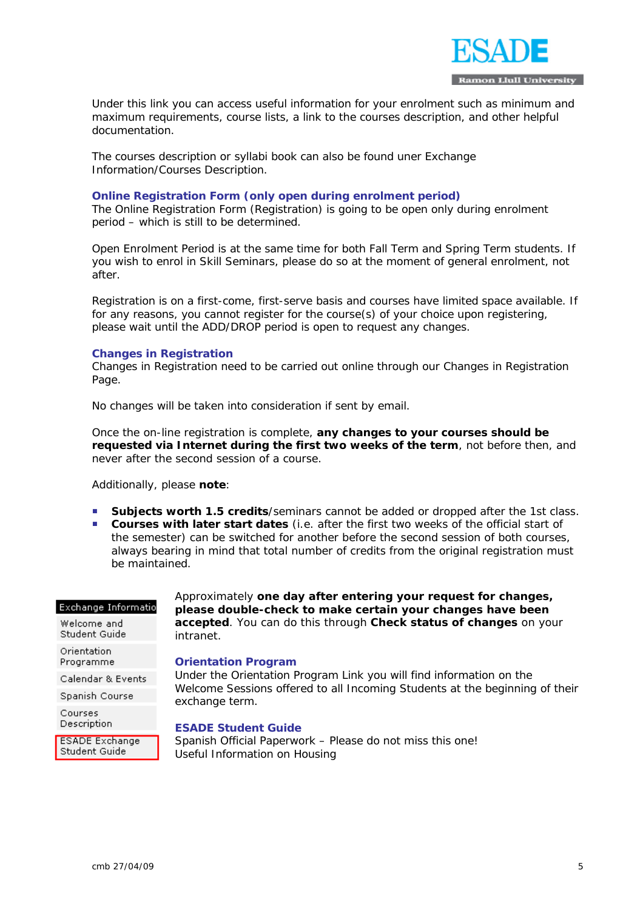

Under this link you can access useful information for your enrolment such as minimum and maximum requirements, course lists, a link to the courses description, and other helpful documentation.

The courses description or syllabi book can also be found uner Exchange Information/Courses Description.

#### **Online Registration Form (only open during enrolment period)**

The Online Registration Form (Registration) is going to be open only during enrolment period – which is still to be determined.

Open Enrolment Period is at the same time for both Fall Term and Spring Term students. If you wish to enrol in Skill Seminars, please do so at the moment of general enrolment, not after.

Registration is on a first-come, first-serve basis and courses have limited space available. If for any reasons, you cannot register for the course(s) of your choice upon registering, please wait until the ADD/DROP period is open to request any changes.

#### **Changes in Registration**

Changes in Registration need to be carried out online through our Changes in Registration Page.

No changes will be taken into consideration if sent by email.

Once the on-line registration is complete, **any changes to your courses should be requested via Internet during the first two weeks of the term**, not before then, and never after the second session of a course.

Additionally, please **note**:

- **Subjects worth 1.5 credits**/seminars cannot be added or dropped after the 1st class.
- **Courses with later start dates** (i.e. after the first two weeks of the official start of the semester) can be switched for another before the second session of both courses, always bearing in mind that total number of credits from the original registration must be maintained.

#### Exchange Informatio

Welcome and Student Guide

Orientation Programme

Calendar & Events

Spanish Course

Courses Description

**ESADE Exchange** Student Guide

Approximately **one day after entering your request for changes, please double-check to make certain your changes have been accepted**. You can do this through **Check status of changes** on your intranet.

#### **Orientation Program**

Under the Orientation Program Link you will find information on the Welcome Sessions offered to all Incoming Students at the beginning of their exchange term.

#### **ESADE Student Guide**

Spanish Official Paperwork – Please do not miss this one! Useful Information on Housing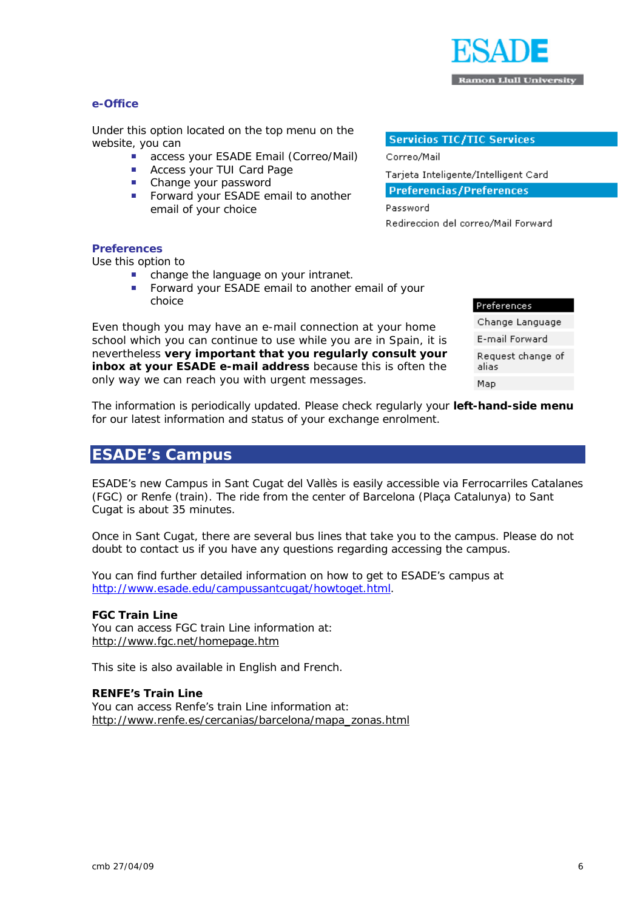

#### **e-Office**

Under this option located on the top menu on the website, you can

- **access your ESADE Email (Correo/Mail)**
- **Access your TUI Card Page**
- **Change your password**
- Forward your ESADE email to another email of your choice

#### **Servicios TIC/TIC Services**

Correo/Mail

Tarjeta Inteligente/Intelligent Card

**Preferencias/Preferences** 

Password Redireccion del correo/Mail Forward

#### **Preferences**

Use this option to

- change the language on your intranet.
- **Forward your ESADE email to another email of your** choice

Even though you may have an e-mail connection at your home school which you can continue to use while you are in Spain, it is nevertheless **very important that you regularly consult your inbox at your ESADE e-mail address** because this is often the only way we can reach you with urgent messages.

Preferences Change Language E-mail Forward Request change of alias Map

The information is periodically updated. Please check regularly your **left-hand-side menu** for our latest information and status of your exchange enrolment.

# **ESADE's Campus**

ESADE's new Campus in Sant Cugat del Vallès is easily accessible via Ferrocarriles Catalanes (FGC) or Renfe (train). The ride from the center of Barcelona (Plaça Catalunya) to Sant Cugat is about 35 minutes.

Once in Sant Cugat, there are several bus lines that take you to the campus. Please do not doubt to contact us if you have any questions regarding accessing the campus.

You can find further detailed information on how to get to ESADE's campus at http://www.esade.edu/campussantcugat/howtoget.html.

#### **FGC Train Line**

You can access FGC train Line information at: http://www.fgc.net/homepage.htm

This site is also available in English and French.

#### **RENFE's Train Line**

You can access Renfe's train Line information at: http://www.renfe.es/cercanias/barcelona/mapa\_zonas.html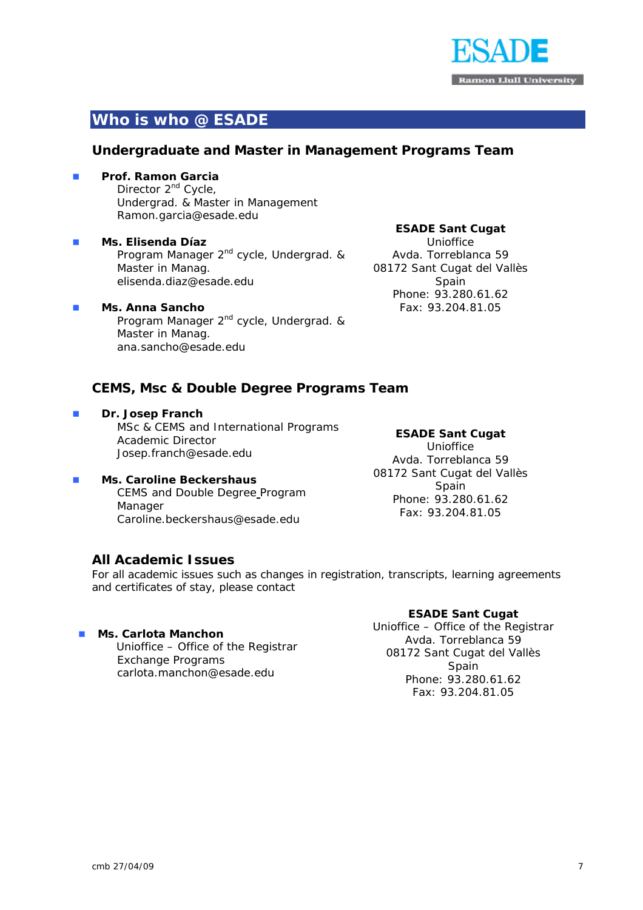

# **Who is who @ ESADE**

## **Undergraduate and Master in Management Programs Team**

#### **Prof. Ramon Garcia**

Director 2<sup>nd</sup> Cycle, Undergrad. & Master in Management Ramon.garcia@esade.edu

 **Ms. Elisenda Díaz** Program Manager 2<sup>nd</sup> cycle, Undergrad. & Master in Manag. elisenda.diaz@esade.edu

#### **Ms. Anna Sancho**  Program Manager 2<sup>nd</sup> cycle, Undergrad. & Master in Manag. ana.sancho@esade.edu

#### **ESADE Sant Cugat**

Unioffice Avda. Torreblanca 59 08172 Sant Cugat del Vallès Spain Phone: 93.280.61.62 Fax: 93.204.81.05

#### **CEMS, Msc & Double Degree Programs Team**

 **Dr. Josep Franch**  MSc & CEMS and International Programs Academic Director Josep.franch@esade.edu

## **Ms. Caroline Beckershaus**  CEMS and Double Degree Program Manager

Caroline.beckershaus@esade.edu

#### **ESADE Sant Cugat**

Unioffice Avda. Torreblanca 59 08172 Sant Cugat del Vallès Spain Phone: 93.280.61.62 Fax: 93.204.81.05

## **All Academic Issues**

For all academic issues such as changes in registration, transcripts, learning agreements and certificates of stay, please contact

#### **Ms. Carlota Manchon**

Unioffice – Office of the Registrar Exchange Programs carlota.manchon@esade.edu

#### **ESADE Sant Cugat**

Unioffice – Office of the Registrar Avda. Torreblanca 59 08172 Sant Cugat del Vallès Spain Phone: 93.280.61.62 Fax: 93.204.81.05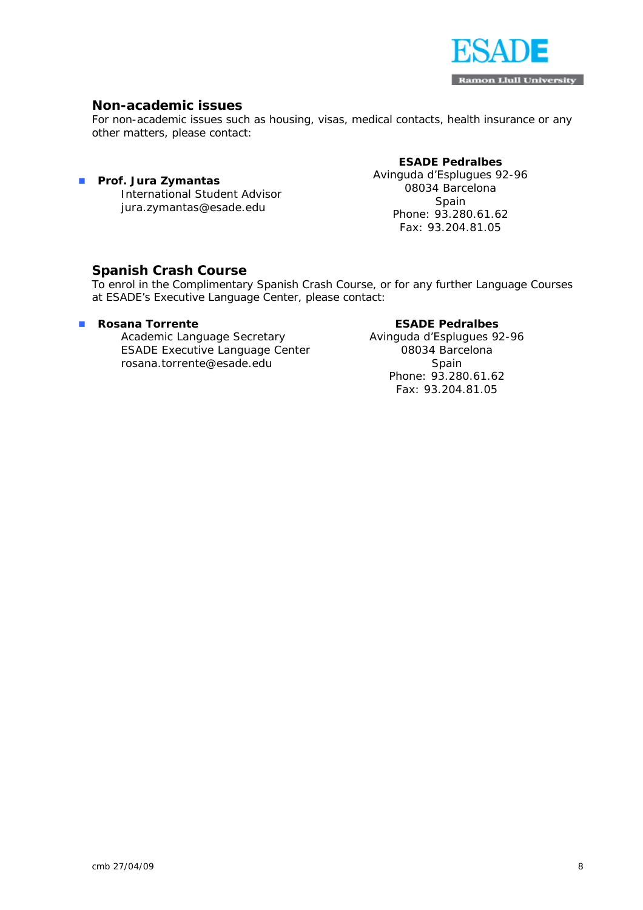

# **Non-academic issues**

For non-academic issues such as housing, visas, medical contacts, health insurance or any other matters, please contact:

#### **ESADE Pedralbes**

 **Prof. Jura Zymantas**  International Student Advisor jura.zymantas@esade.edu

Avinguda d'Esplugues 92-96 08034 Barcelona Spain Phone: 93.280.61.62 Fax: 93.204.81.05

#### **Spanish Crash Course**

To enrol in the Complimentary Spanish Crash Course, or for any further Language Courses at ESADE's Executive Language Center, please contact:

#### **Rosana Torrente**

Academic Language Secretary ESADE Executive Language Center rosana.torrente@esade.edu

#### **ESADE Pedralbes**

Avinguda d'Esplugues 92-96 08034 Barcelona Spain Phone: 93.280.61.62 Fax: 93.204.81.05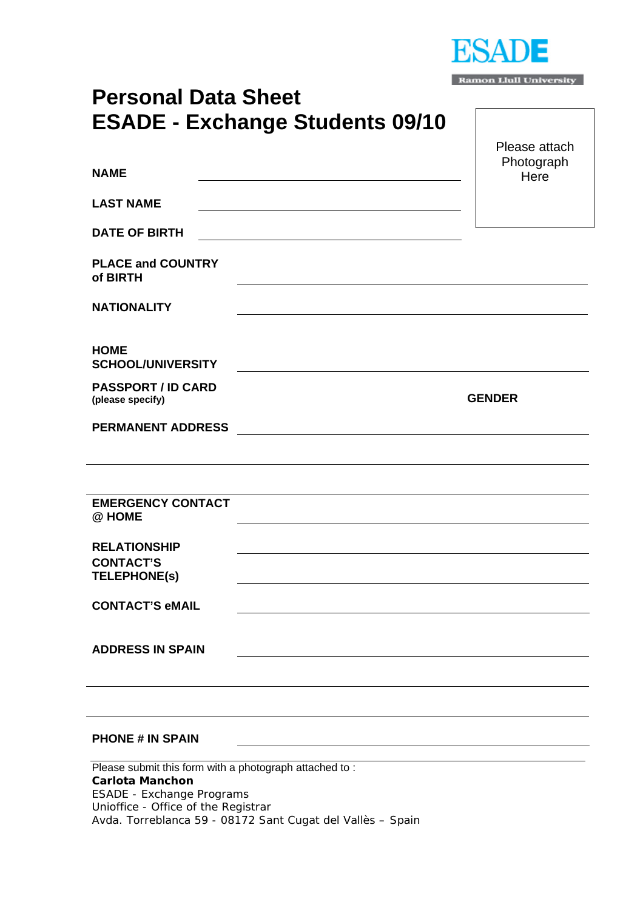

| <b>Ramon Llull University</b> |  |  |  |
|-------------------------------|--|--|--|
|-------------------------------|--|--|--|

# **Personal Data Sheet ESADE - Exchange Students 09/10**

|                                                                                                                      | Please attach<br>Photograph |
|----------------------------------------------------------------------------------------------------------------------|-----------------------------|
| <b>NAME</b>                                                                                                          | Here                        |
| <b>LAST NAME</b>                                                                                                     |                             |
| <b>DATE OF BIRTH</b>                                                                                                 |                             |
| <b>PLACE and COUNTRY</b><br>of BIRTH                                                                                 |                             |
| <b>NATIONALITY</b>                                                                                                   |                             |
| <b>HOME</b><br><b>SCHOOL/UNIVERSITY</b>                                                                              |                             |
| <b>PASSPORT / ID CARD</b><br>(please specify)                                                                        | <b>GENDER</b>               |
| <b>PERMANENT ADDRESS</b>                                                                                             |                             |
|                                                                                                                      |                             |
| <b>EMERGENCY CONTACT</b><br>@ HOME                                                                                   |                             |
| <b>RELATIONSHIP</b>                                                                                                  |                             |
| <b>CONTACT'S</b><br><b>TELEPHONE(S)</b>                                                                              |                             |
| <b>CONTACT'S eMAIL</b>                                                                                               |                             |
| <b>ADDRESS IN SPAIN</b>                                                                                              |                             |
|                                                                                                                      |                             |
| <b>PHONE # IN SPAIN</b>                                                                                              |                             |
| Please submit this form with a photograph attached to:<br><b>Carlota Manchon</b><br><b>ESADE - Exchange Programs</b> |                             |

Unioffice - Office of the Registrar

Avda. Torreblanca 59 - 08172 Sant Cugat del Vallès – Spain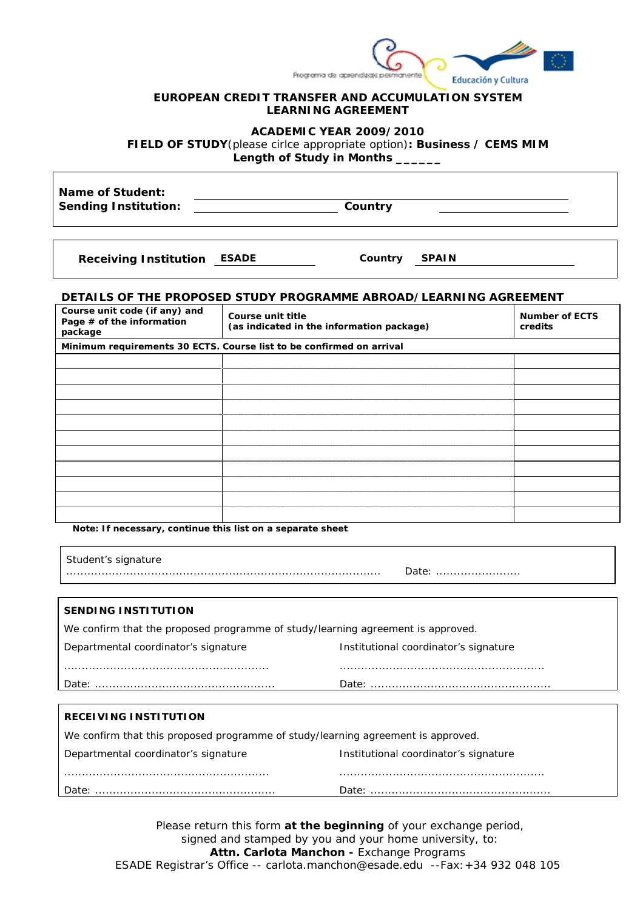

#### **EUROPEAN CREDIT TRANSFER AND ACCUMULATION SYSTEM LEARNING AGREEMENT**

**ACADEMIC YEAR 2009/2010** 

**FIELD OF STUDY**(please cirlce appropriate option)**: Business / CEMS MIM** 

**Length of Study in Months \_\_\_\_\_\_** 

**Name of Student: Sending Institution: Country** 

**Receiving Institution ESADE Country SPAIN** 

#### **DETAILS OF THE PROPOSED STUDY PROGRAMME ABROAD/LEARNING AGREEMENT**

| Course unit code (if any) and<br>Page # of the information<br>package | Course unit title<br>(as indicated in the information package)       | <b>Number of ECTS</b><br>credits |
|-----------------------------------------------------------------------|----------------------------------------------------------------------|----------------------------------|
|                                                                       | Minimum requirements 30 ECTS. Course list to be confirmed on arrival |                                  |
|                                                                       |                                                                      |                                  |
|                                                                       |                                                                      |                                  |
|                                                                       |                                                                      |                                  |
|                                                                       |                                                                      |                                  |
|                                                                       |                                                                      |                                  |
|                                                                       |                                                                      |                                  |
|                                                                       |                                                                      |                                  |
|                                                                       |                                                                      |                                  |
|                                                                       |                                                                      |                                  |
|                                                                       |                                                                      |                                  |
|                                                                       |                                                                      |                                  |

**Note: If necessary, continue this list on a separate sheet** 

| Student's signature                                                             | Date:                                 |
|---------------------------------------------------------------------------------|---------------------------------------|
|                                                                                 |                                       |
| SENDING INSTITUTION                                                             |                                       |
| We confirm that the proposed programme of study/learning agreement is approved. |                                       |
| Departmental coordinator's signature                                            | Institutional coordinator's signature |
|                                                                                 |                                       |
|                                                                                 |                                       |
|                                                                                 |                                       |
|                                                                                 |                                       |

#### **RECEIVING INSTITUTION**

| We confirm that this proposed programme of study/learning agreement is approved. |                                       |  |  |
|----------------------------------------------------------------------------------|---------------------------------------|--|--|
| Departmental coordinator's signature                                             | Institutional coordinator's signature |  |  |
|                                                                                  |                                       |  |  |
|                                                                                  |                                       |  |  |

Please return this form **at the beginning** of your exchange period, signed and stamped by you and your home university, to: **Attn. Carlota Manchon -** Exchange Programs ESADE Registrar's Office -- carlota.manchon@esade.edu --Fax:+34 932 048 105